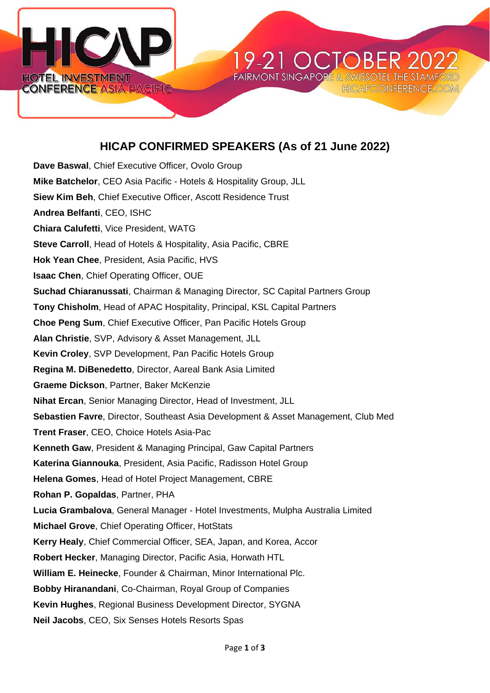

## **HICAP CONFIRMED SPEAKERS (As of 21 June 2022)**

19-21 OCT

**FAIRMONT SINGAPORE & SWI:** 

**HICAPCONFERENC** 

**Dave Baswal**, Chief Executive Officer, Ovolo Group **Mike Batchelor**, CEO Asia Pacific - Hotels & Hospitality Group, JLL **Siew Kim Beh**, Chief Executive Officer, Ascott Residence Trust **Andrea Belfanti**, CEO, ISHC **Chiara Calufetti**, Vice President, WATG **Steve Carroll**, Head of Hotels & Hospitality, Asia Pacific, CBRE **Hok Yean Chee**, President, Asia Pacific, HVS **Isaac Chen**, Chief Operating Officer, OUE **Suchad Chiaranussati**, Chairman & Managing Director, SC Capital Partners Group **Tony Chisholm**, Head of APAC Hospitality, Principal, KSL Capital Partners **Choe Peng Sum**, Chief Executive Officer, Pan Pacific Hotels Group **Alan Christie**, SVP, Advisory & Asset Management, JLL **Kevin Croley**, SVP Development, Pan Pacific Hotels Group **Regina M. DiBenedetto**, Director, Aareal Bank Asia Limited **Graeme Dickson**, Partner, Baker McKenzie **Nihat Ercan**, Senior Managing Director, Head of Investment, JLL **Sebastien Favre**, Director, Southeast Asia Development & Asset Management, Club Med **Trent Fraser**, CEO, Choice Hotels Asia-Pac **Kenneth Gaw**, President & Managing Principal, Gaw Capital Partners **Katerina Giannouka**, President, Asia Pacific, Radisson Hotel Group **Helena Gomes**, Head of Hotel Project Management, CBRE **Rohan P. Gopaldas**, Partner, PHA **Lucia Grambalova**, General Manager - Hotel Investments, Mulpha Australia Limited **Michael Grove**, Chief Operating Officer, HotStats **Kerry Healy**, Chief Commercial Officer, SEA, Japan, and Korea, Accor **Robert Hecker**, Managing Director, Pacific Asia, Horwath HTL **William E. Heinecke**, Founder & Chairman, Minor International Plc. **Bobby Hiranandani**, Co-Chairman, Royal Group of Companies **Kevin Hughes**, Regional Business Development Director, SYGNA **Neil Jacobs**, CEO, Six Senses Hotels Resorts Spas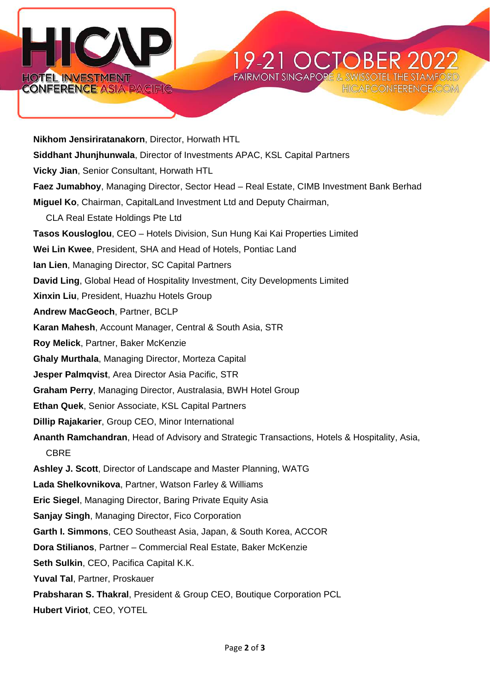



**Nikhom Jensiriratanakorn**, Director, Horwath HTL **Siddhant Jhunjhunwala**, Director of Investments APAC, KSL Capital Partners **Vicky Jian**, Senior Consultant, Horwath HTL **Faez Jumabhoy**, Managing Director, Sector Head – Real Estate, CIMB Investment Bank Berhad **Miguel Ko**, Chairman, CapitalLand Investment Ltd and Deputy Chairman, CLA Real Estate Holdings Pte Ltd **Tasos Kousloglou**, CEO – Hotels Division, Sun Hung Kai Kai Properties Limited **Wei Lin Kwee**, President, SHA and Head of Hotels, Pontiac Land **Ian Lien**, Managing Director, SC Capital Partners **David Ling**, Global Head of Hospitality Investment, City Developments Limited **Xinxin Liu**, President, Huazhu Hotels Group **Andrew MacGeoch**, Partner, BCLP **Karan Mahesh**, Account Manager, Central & South Asia, STR **Roy Melick**, Partner, Baker McKenzie **Ghaly Murthala**, Managing Director, Morteza Capital **Jesper Palmqvist**, Area Director Asia Pacific, STR **Graham Perry**, Managing Director, Australasia, BWH Hotel Group **Ethan Quek**, Senior Associate, KSL Capital Partners **Dillip Rajakarier**, Group CEO, Minor International **Ananth Ramchandran**, Head of Advisory and Strategic Transactions, Hotels & Hospitality, Asia, CBRE **Ashley J. Scott**, Director of Landscape and Master Planning, WATG **Lada Shelkovnikova**, Partner, Watson Farley & Williams **Eric Siegel**, Managing Director, Baring Private Equity Asia **Sanjay Singh**, Managing Director, Fico Corporation **Garth I. Simmons**, CEO Southeast Asia, Japan, & South Korea, ACCOR **Dora Stilianos**, Partner – Commercial Real Estate, Baker McKenzie **Seth Sulkin**, CEO, Pacifica Capital K.K. **Yuval Tal**, Partner, Proskauer **Prabsharan S. Thakral**, President & Group CEO, Boutique Corporation PCL

**Hubert Viriot**, CEO, YOTEL